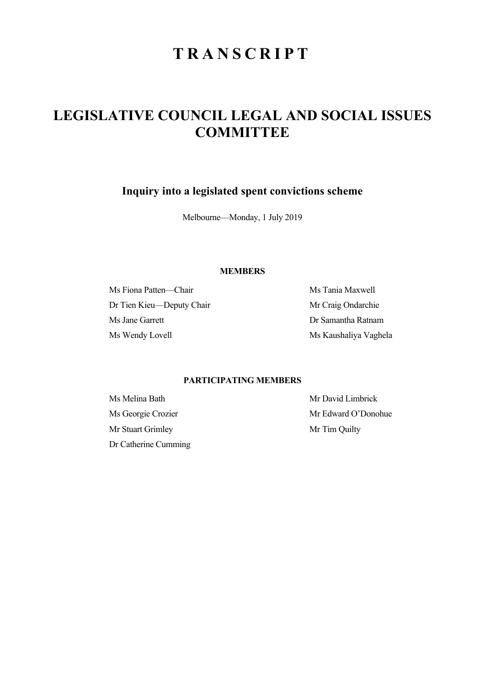# **TRANSCRIPT**

## **LEGISLATIVE COUNCIL LEGAL AND SOCIAL ISSUES COMMITTEE**

**Inquiry into a legislated spent convictions scheme** 

Melbourne—Monday, 1 July 2019

## **MEMBERS**

Ms Fiona Patten—Chair Ms Tania Maxwell Dr Tien Kieu—Deputy Chair Mr Craig Ondarchie Ms Jane Garrett Dr Samantha Ratnam Ms Wendy Lovell Ms Kaushaliya Vaghela

## **PARTICIPATING MEMBERS**

Ms Melina Bath Mr David Limbrick Mr Stuart Grimley Mr Tim Quilty Dr Catherine Cumming

Ms Georgie Crozier Mr Edward O'Donohue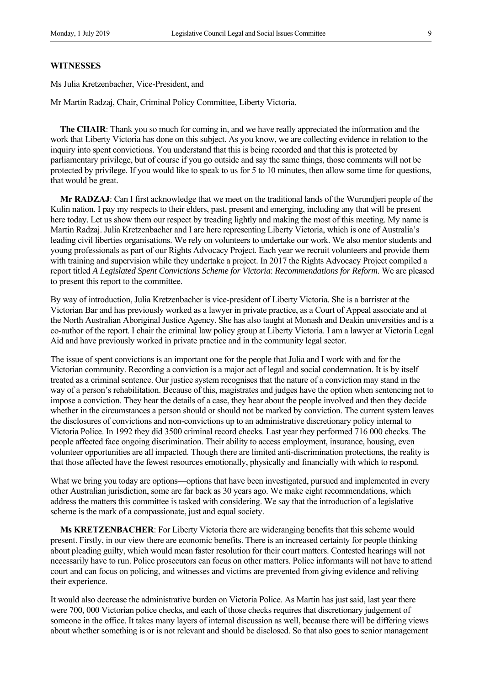#### **WITNESSES**

Ms Julia Kretzenbacher, Vice-President, and

Mr Martin Radzaj, Chair, Criminal Policy Committee, Liberty Victoria.

**The CHAIR**: Thank you so much for coming in, and we have really appreciated the information and the work that Liberty Victoria has done on this subject. As you know, we are collecting evidence in relation to the inquiry into spent convictions. You understand that this is being recorded and that this is protected by parliamentary privilege, but of course if you go outside and say the same things, those comments will not be protected by privilege. If you would like to speak to us for 5 to 10 minutes, then allow some time for questions, that would be great.

**Mr RADZAJ**: Can I first acknowledge that we meet on the traditional lands of the Wurundjeri people of the Kulin nation. I pay my respects to their elders, past, present and emerging, including any that will be present here today. Let us show them our respect by treading lightly and making the most of this meeting. My name is Martin Radzaj. Julia Kretzenbacher and I are here representing Liberty Victoria, which is one of Australia's leading civil liberties organisations. We rely on volunteers to undertake our work. We also mentor students and young professionals as part of our Rights Advocacy Project. Each year we recruit volunteers and provide them with training and supervision while they undertake a project. In 2017 the Rights Advocacy Project compiled a report titled *A Legislated Spent Convictions Scheme for Victoria*: *Recommendations for Reform*. We are pleased to present this report to the committee.

By way of introduction, Julia Kretzenbacher is vice-president of Liberty Victoria. She is a barrister at the Victorian Bar and has previously worked as a lawyer in private practice, as a Court of Appeal associate and at the North Australian Aboriginal Justice Agency. She has also taught at Monash and Deakin universities and is a co-author of the report. I chair the criminal law policy group at Liberty Victoria. I am a lawyer at Victoria Legal Aid and have previously worked in private practice and in the community legal sector.

The issue of spent convictions is an important one for the people that Julia and I work with and for the Victorian community. Recording a conviction is a major act of legal and social condemnation. It is by itself treated as a criminal sentence. Our justice system recognises that the nature of a conviction may stand in the way of a person's rehabilitation. Because of this, magistrates and judges have the option when sentencing not to impose a conviction. They hear the details of a case, they hear about the people involved and then they decide whether in the circumstances a person should or should not be marked by conviction. The current system leaves the disclosures of convictions and non-convictions up to an administrative discretionary policy internal to Victoria Police. In 1992 they did 3500 criminal record checks. Last year they performed 716 000 checks. The people affected face ongoing discrimination. Their ability to access employment, insurance, housing, even volunteer opportunities are all impacted. Though there are limited anti-discrimination protections, the reality is that those affected have the fewest resources emotionally, physically and financially with which to respond.

What we bring you today are options—options that have been investigated, pursued and implemented in every other Australian jurisdiction, some are far back as 30 years ago. We make eight recommendations, which address the matters this committee is tasked with considering. We say that the introduction of a legislative scheme is the mark of a compassionate, just and equal society.

**Ms KRETZENBACHER**: For Liberty Victoria there are wideranging benefits that this scheme would present. Firstly, in our view there are economic benefits. There is an increased certainty for people thinking about pleading guilty, which would mean faster resolution for their court matters. Contested hearings will not necessarily have to run. Police prosecutors can focus on other matters. Police informants will not have to attend court and can focus on policing, and witnesses and victims are prevented from giving evidence and reliving their experience.

It would also decrease the administrative burden on Victoria Police. As Martin has just said, last year there were 700, 000 Victorian police checks, and each of those checks requires that discretionary judgement of someone in the office. It takes many layers of internal discussion as well, because there will be differing views about whether something is or is not relevant and should be disclosed. So that also goes to senior management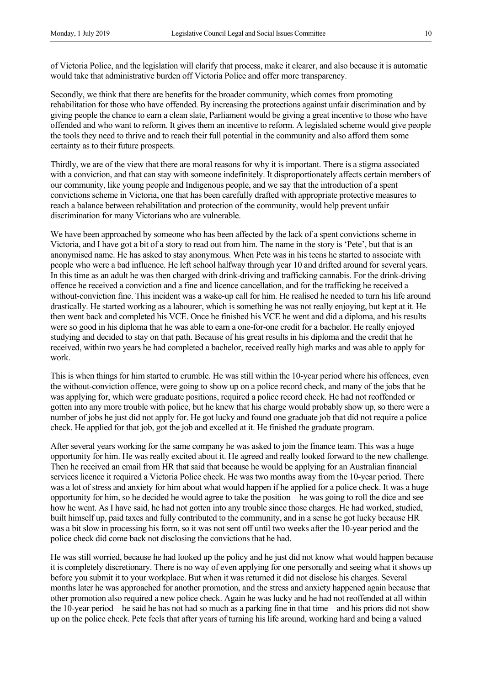of Victoria Police, and the legislation will clarify that process, make it clearer, and also because it is automatic would take that administrative burden off Victoria Police and offer more transparency.

Secondly, we think that there are benefits for the broader community, which comes from promoting rehabilitation for those who have offended. By increasing the protections against unfair discrimination and by giving people the chance to earn a clean slate, Parliament would be giving a great incentive to those who have offended and who want to reform. It gives them an incentive to reform. A legislated scheme would give people the tools they need to thrive and to reach their full potential in the community and also afford them some certainty as to their future prospects.

Thirdly, we are of the view that there are moral reasons for why it is important. There is a stigma associated with a conviction, and that can stay with someone indefinitely. It disproportionately affects certain members of our community, like young people and Indigenous people, and we say that the introduction of a spent convictions scheme in Victoria, one that has been carefully drafted with appropriate protective measures to reach a balance between rehabilitation and protection of the community, would help prevent unfair discrimination for many Victorians who are vulnerable.

We have been approached by someone who has been affected by the lack of a spent convictions scheme in Victoria, and I have got a bit of a story to read out from him. The name in the story is 'Pete', but that is an anonymised name. He has asked to stay anonymous. When Pete was in his teens he started to associate with people who were a bad influence. He left school halfway through year 10 and drifted around for several years. In this time as an adult he was then charged with drink-driving and trafficking cannabis. For the drink-driving offence he received a conviction and a fine and licence cancellation, and for the trafficking he received a without-conviction fine. This incident was a wake-up call for him. He realised he needed to turn his life around drastically. He started working as a labourer, which is something he was not really enjoying, but kept at it. He then went back and completed his VCE. Once he finished his VCE he went and did a diploma, and his results were so good in his diploma that he was able to earn a one-for-one credit for a bachelor. He really enjoyed studying and decided to stay on that path. Because of his great results in his diploma and the credit that he received, within two years he had completed a bachelor, received really high marks and was able to apply for work.

This is when things for him started to crumble. He was still within the 10-year period where his offences, even the without-conviction offence, were going to show up on a police record check, and many of the jobs that he was applying for, which were graduate positions, required a police record check. He had not reoffended or gotten into any more trouble with police, but he knew that his charge would probably show up, so there were a number of jobs he just did not apply for. He got lucky and found one graduate job that did not require a police check. He applied for that job, got the job and excelled at it. He finished the graduate program.

After several years working for the same company he was asked to join the finance team. This was a huge opportunity for him. He was really excited about it. He agreed and really looked forward to the new challenge. Then he received an email from HR that said that because he would be applying for an Australian financial services licence it required a Victoria Police check. He was two months away from the 10-year period. There was a lot of stress and anxiety for him about what would happen if he applied for a police check. It was a huge opportunity for him, so he decided he would agree to take the position—he was going to roll the dice and see how he went. As I have said, he had not gotten into any trouble since those charges. He had worked, studied, built himself up, paid taxes and fully contributed to the community, and in a sense he got lucky because HR was a bit slow in processing his form, so it was not sent off until two weeks after the 10-year period and the police check did come back not disclosing the convictions that he had.

He was still worried, because he had looked up the policy and he just did not know what would happen because it is completely discretionary. There is no way of even applying for one personally and seeing what it shows up before you submit it to your workplace. But when it was returned it did not disclose his charges. Several months later he was approached for another promotion, and the stress and anxiety happened again because that other promotion also required a new police check. Again he was lucky and he had not reoffended at all within the 10-year period—he said he has not had so much as a parking fine in that time—and his priors did not show up on the police check. Pete feels that after years of turning his life around, working hard and being a valued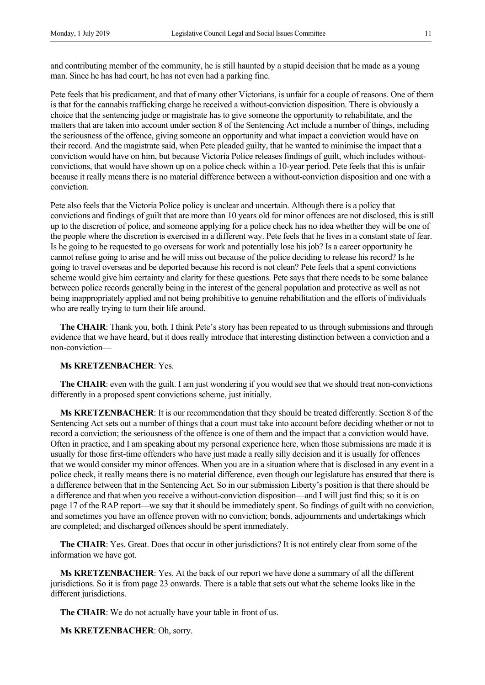and contributing member of the community, he is still haunted by a stupid decision that he made as a young man. Since he has had court, he has not even had a parking fine.

Pete feels that his predicament, and that of many other Victorians, is unfair for a couple of reasons. One of them is that for the cannabis trafficking charge he received a without-conviction disposition. There is obviously a choice that the sentencing judge or magistrate has to give someone the opportunity to rehabilitate, and the matters that are taken into account under section 8 of the Sentencing Act include a number of things, including the seriousness of the offence, giving someone an opportunity and what impact a conviction would have on their record. And the magistrate said, when Pete pleaded guilty, that he wanted to minimise the impact that a conviction would have on him, but because Victoria Police releases findings of guilt, which includes withoutconvictions, that would have shown up on a police check within a 10-year period. Pete feels that this is unfair because it really means there is no material difference between a without-conviction disposition and one with a conviction.

Pete also feels that the Victoria Police policy is unclear and uncertain. Although there is a policy that convictions and findings of guilt that are more than 10 years old for minor offences are not disclosed, this is still up to the discretion of police, and someone applying for a police check has no idea whether they will be one of the people where the discretion is exercised in a different way. Pete feels that he lives in a constant state of fear. Is he going to be requested to go overseas for work and potentially lose his job? Is a career opportunity he cannot refuse going to arise and he will miss out because of the police deciding to release his record? Is he going to travel overseas and be deported because his record is not clean? Pete feels that a spent convictions scheme would give him certainty and clarity for these questions. Pete says that there needs to be some balance between police records generally being in the interest of the general population and protective as well as not being inappropriately applied and not being prohibitive to genuine rehabilitation and the efforts of individuals who are really trying to turn their life around.

**The CHAIR**: Thank you, both. I think Pete's story has been repeated to us through submissions and through evidence that we have heard, but it does really introduce that interesting distinction between a conviction and a non-conviction—

### **Ms KRETZENBACHER**: Yes.

**The CHAIR:** even with the guilt. I am just wondering if you would see that we should treat non-convictions differently in a proposed spent convictions scheme, just initially.

**Ms KRETZENBACHER**: It is our recommendation that they should be treated differently. Section 8 of the Sentencing Act sets out a number of things that a court must take into account before deciding whether or not to record a conviction; the seriousness of the offence is one of them and the impact that a conviction would have. Often in practice, and I am speaking about my personal experience here, when those submissions are made it is usually for those first-time offenders who have just made a really silly decision and it is usually for offences that we would consider my minor offences. When you are in a situation where that is disclosed in any event in a police check, it really means there is no material difference, even though our legislature has ensured that there is a difference between that in the Sentencing Act. So in our submission Liberty's position is that there should be a difference and that when you receive a without-conviction disposition—and I will just find this; so it is on page 17 of the RAP report—we say that it should be immediately spent. So findings of guilt with no conviction, and sometimes you have an offence proven with no conviction; bonds, adjournments and undertakings which are completed; and discharged offences should be spent immediately.

**The CHAIR**: Yes. Great. Does that occur in other jurisdictions? It is not entirely clear from some of the information we have got.

**Ms KRETZENBACHER**: Yes. At the back of our report we have done a summary of all the different jurisdictions. So it is from page 23 onwards. There is a table that sets out what the scheme looks like in the different jurisdictions.

**The CHAIR**: We do not actually have your table in front of us.

**Ms KRETZENBACHER**: Oh, sorry.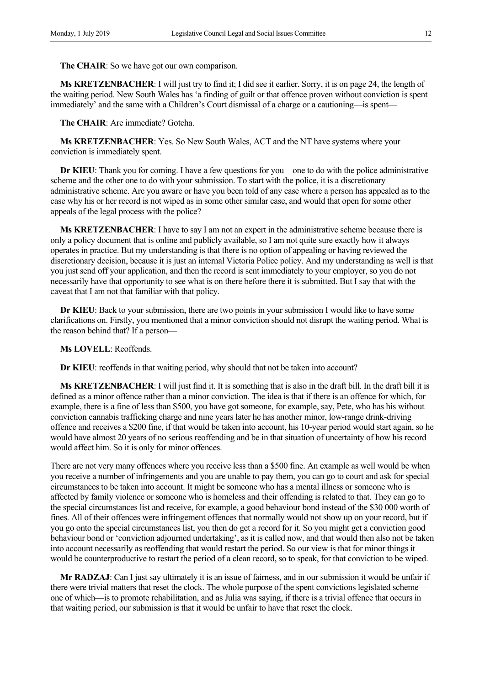**The CHAIR**: So we have got our own comparison.

**Ms KRETZENBACHER**: I will just try to find it; I did see it earlier. Sorry, it is on page 24, the length of the waiting period. New South Wales has 'a finding of guilt or that offence proven without conviction is spent immediately' and the same with a Children's Court dismissal of a charge or a cautioning—is spent—

**The CHAIR**: Are immediate? Gotcha.

**Ms KRETZENBACHER**: Yes. So New South Wales, ACT and the NT have systems where your conviction is immediately spent.

**Dr KIEU**: Thank you for coming. I have a few questions for you—one to do with the police administrative scheme and the other one to do with your submission. To start with the police, it is a discretionary administrative scheme. Are you aware or have you been told of any case where a person has appealed as to the case why his or her record is not wiped as in some other similar case, and would that open for some other appeals of the legal process with the police?

**Ms KRETZENBACHER**: I have to say I am not an expert in the administrative scheme because there is only a policy document that is online and publicly available, so I am not quite sure exactly how it always operates in practice. But my understanding is that there is no option of appealing or having reviewed the discretionary decision, because it is just an internal Victoria Police policy. And my understanding as well is that you just send off your application, and then the record is sent immediately to your employer, so you do not necessarily have that opportunity to see what is on there before there it is submitted. But I say that with the caveat that I am not that familiar with that policy.

**Dr KIEU**: Back to your submission, there are two points in your submission I would like to have some clarifications on. Firstly, you mentioned that a minor conviction should not disrupt the waiting period. What is the reason behind that? If a person—

**Ms LOVELL**: Reoffends.

**Dr KIEU**: reoffends in that waiting period, why should that not be taken into account?

**Ms KRETZENBACHER**: I will just find it. It is something that is also in the draft bill. In the draft bill it is defined as a minor offence rather than a minor conviction. The idea is that if there is an offence for which, for example, there is a fine of less than \$500, you have got someone, for example, say, Pete, who has his without conviction cannabis trafficking charge and nine years later he has another minor, low-range drink-driving offence and receives a \$200 fine, if that would be taken into account, his 10-year period would start again, so he would have almost 20 years of no serious reoffending and be in that situation of uncertainty of how his record would affect him. So it is only for minor offences.

There are not very many offences where you receive less than a \$500 fine. An example as well would be when you receive a number of infringements and you are unable to pay them, you can go to court and ask for special circumstances to be taken into account. It might be someone who has a mental illness or someone who is affected by family violence or someone who is homeless and their offending is related to that. They can go to the special circumstances list and receive, for example, a good behaviour bond instead of the \$30 000 worth of fines. All of their offences were infringement offences that normally would not show up on your record, but if you go onto the special circumstances list, you then do get a record for it. So you might get a conviction good behaviour bond or 'conviction adjourned undertaking', as it is called now, and that would then also not be taken into account necessarily as reoffending that would restart the period. So our view is that for minor things it would be counterproductive to restart the period of a clean record, so to speak, for that conviction to be wiped.

**Mr RADZAJ**: Can I just say ultimately it is an issue of fairness, and in our submission it would be unfair if there were trivial matters that reset the clock. The whole purpose of the spent convictions legislated scheme one of which—is to promote rehabilitation, and as Julia was saying, if there is a trivial offence that occurs in that waiting period, our submission is that it would be unfair to have that reset the clock.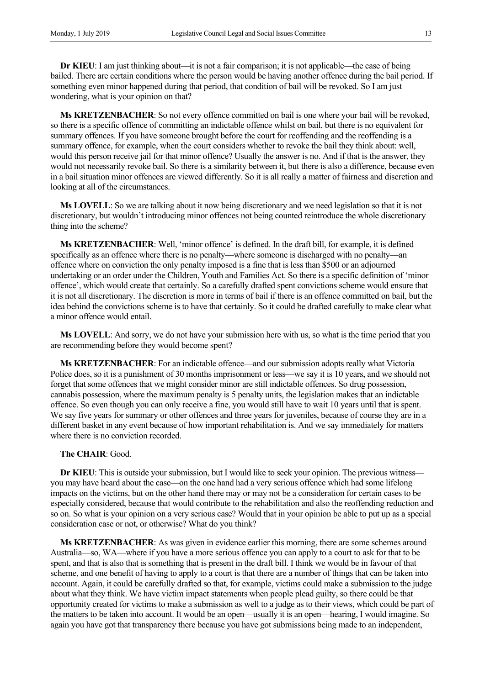**Dr KIEU**: I am just thinking about—it is not a fair comparison; it is not applicable—the case of being bailed. There are certain conditions where the person would be having another offence during the bail period. If something even minor happened during that period, that condition of bail will be revoked. So I am just wondering, what is your opinion on that?

**Ms KRETZENBACHER**: So not every offence committed on bail is one where your bail will be revoked, so there is a specific offence of committing an indictable offence whilst on bail, but there is no equivalent for summary offences. If you have someone brought before the court for reoffending and the reoffending is a summary offence, for example, when the court considers whether to revoke the bail they think about: well, would this person receive jail for that minor offence? Usually the answer is no. And if that is the answer, they would not necessarily revoke bail. So there is a similarity between it, but there is also a difference, because even in a bail situation minor offences are viewed differently. So it is all really a matter of fairness and discretion and looking at all of the circumstances.

**Ms LOVELL**: So we are talking about it now being discretionary and we need legislation so that it is not discretionary, but wouldn't introducing minor offences not being counted reintroduce the whole discretionary thing into the scheme?

**Ms KRETZENBACHER**: Well, 'minor offence' is defined. In the draft bill, for example, it is defined specifically as an offence where there is no penalty—where someone is discharged with no penalty—an offence where on conviction the only penalty imposed is a fine that is less than \$500 or an adjourned undertaking or an order under the Children, Youth and Families Act. So there is a specific definition of 'minor offence', which would create that certainly. So a carefully drafted spent convictions scheme would ensure that it is not all discretionary. The discretion is more in terms of bail if there is an offence committed on bail, but the idea behind the convictions scheme is to have that certainly. So it could be drafted carefully to make clear what a minor offence would entail.

**Ms LOVELL**: And sorry, we do not have your submission here with us, so what is the time period that you are recommending before they would become spent?

**Ms KRETZENBACHER**: For an indictable offence—and our submission adopts really what Victoria Police does, so it is a punishment of 30 months imprisonment or less—we say it is 10 years, and we should not forget that some offences that we might consider minor are still indictable offences. So drug possession, cannabis possession, where the maximum penalty is 5 penalty units, the legislation makes that an indictable offence. So even though you can only receive a fine, you would still have to wait 10 years until that is spent. We say five years for summary or other offences and three years for juveniles, because of course they are in a different basket in any event because of how important rehabilitation is. And we say immediately for matters where there is no conviction recorded.

#### **The CHAIR**: Good.

**Dr KIEU**: This is outside your submission, but I would like to seek your opinion. The previous witness you may have heard about the case—on the one hand had a very serious offence which had some lifelong impacts on the victims, but on the other hand there may or may not be a consideration for certain cases to be especially considered, because that would contribute to the rehabilitation and also the reoffending reduction and so on. So what is your opinion on a very serious case? Would that in your opinion be able to put up as a special consideration case or not, or otherwise? What do you think?

**Ms KRETZENBACHER**: As was given in evidence earlier this morning, there are some schemes around Australia—so, WA—where if you have a more serious offence you can apply to a court to ask for that to be spent, and that is also that is something that is present in the draft bill. I think we would be in favour of that scheme, and one benefit of having to apply to a court is that there are a number of things that can be taken into account. Again, it could be carefully drafted so that, for example, victims could make a submission to the judge about what they think. We have victim impact statements when people plead guilty, so there could be that opportunity created for victims to make a submission as well to a judge as to their views, which could be part of the matters to be taken into account. It would be an open—usually it is an open—hearing, I would imagine. So again you have got that transparency there because you have got submissions being made to an independent,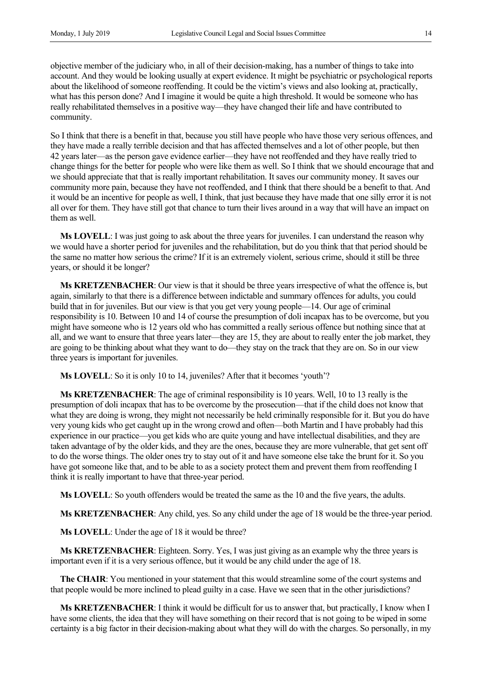objective member of the judiciary who, in all of their decision-making, has a number of things to take into account. And they would be looking usually at expert evidence. It might be psychiatric or psychological reports about the likelihood of someone reoffending. It could be the victim's views and also looking at, practically, what has this person done? And I imagine it would be quite a high threshold. It would be someone who has really rehabilitated themselves in a positive way—they have changed their life and have contributed to community.

So I think that there is a benefit in that, because you still have people who have those very serious offences, and they have made a really terrible decision and that has affected themselves and a lot of other people, but then 42 years later—as the person gave evidence earlier—they have not reoffended and they have really tried to change things for the better for people who were like them as well. So I think that we should encourage that and we should appreciate that that is really important rehabilitation. It saves our community money. It saves our community more pain, because they have not reoffended, and I think that there should be a benefit to that. And it would be an incentive for people as well, I think, that just because they have made that one silly error it is not all over for them. They have still got that chance to turn their lives around in a way that will have an impact on them as well.

**Ms LOVELL**: I was just going to ask about the three years for juveniles. I can understand the reason why we would have a shorter period for juveniles and the rehabilitation, but do you think that that period should be the same no matter how serious the crime? If it is an extremely violent, serious crime, should it still be three years, or should it be longer?

**Ms KRETZENBACHER**: Our view is that it should be three years irrespective of what the offence is, but again, similarly to that there is a difference between indictable and summary offences for adults, you could build that in for juveniles. But our view is that you get very young people—14. Our age of criminal responsibility is 10. Between 10 and 14 of course the presumption of doli incapax has to be overcome, but you might have someone who is 12 years old who has committed a really serious offence but nothing since that at all, and we want to ensure that three years later—they are 15, they are about to really enter the job market, they are going to be thinking about what they want to do—they stay on the track that they are on. So in our view three years is important for juveniles.

**Ms LOVELL**: So it is only 10 to 14, juveniles? After that it becomes 'youth'?

**Ms KRETZENBACHER**: The age of criminal responsibility is 10 years. Well, 10 to 13 really is the presumption of doli incapax that has to be overcome by the prosecution—that if the child does not know that what they are doing is wrong, they might not necessarily be held criminally responsible for it. But you do have very young kids who get caught up in the wrong crowd and often—both Martin and I have probably had this experience in our practice—you get kids who are quite young and have intellectual disabilities, and they are taken advantage of by the older kids, and they are the ones, because they are more vulnerable, that get sent off to do the worse things. The older ones try to stay out of it and have someone else take the brunt for it. So you have got someone like that, and to be able to as a society protect them and prevent them from reoffending I think it is really important to have that three-year period.

**Ms LOVELL**: So youth offenders would be treated the same as the 10 and the five years, the adults.

**Ms KRETZENBACHER**: Any child, yes. So any child under the age of 18 would be the three-year period.

**Ms LOVELL**: Under the age of 18 it would be three?

**Ms KRETZENBACHER**: Eighteen. Sorry. Yes, I was just giving as an example why the three years is important even if it is a very serious offence, but it would be any child under the age of 18.

**The CHAIR**: You mentioned in your statement that this would streamline some of the court systems and that people would be more inclined to plead guilty in a case. Have we seen that in the other jurisdictions?

**Ms KRETZENBACHER**: I think it would be difficult for us to answer that, but practically, I know when I have some clients, the idea that they will have something on their record that is not going to be wiped in some certainty is a big factor in their decision-making about what they will do with the charges. So personally, in my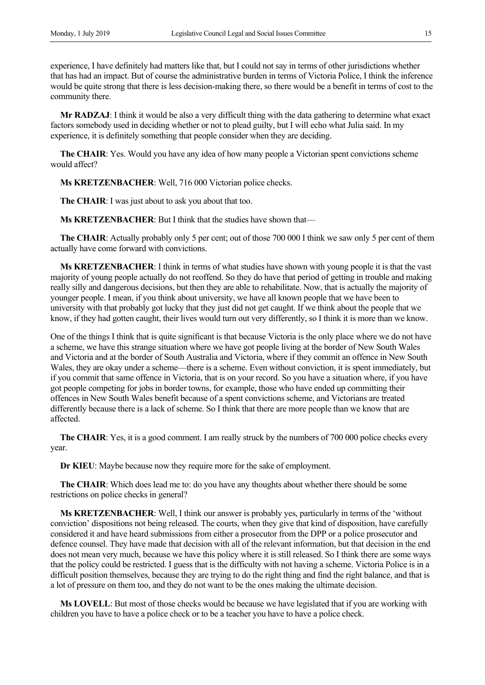experience, I have definitely had matters like that, but I could not say in terms of other jurisdictions whether that has had an impact. But of course the administrative burden in terms of Victoria Police, I think the inference would be quite strong that there is less decision-making there, so there would be a benefit in terms of cost to the community there.

**Mr RADZAJ**: I think it would be also a very difficult thing with the data gathering to determine what exact factors somebody used in deciding whether or not to plead guilty, but I will echo what Julia said. In my experience, it is definitely something that people consider when they are deciding.

**The CHAIR**: Yes. Would you have any idea of how many people a Victorian spent convictions scheme would affect?

**Ms KRETZENBACHER**: Well, 716 000 Victorian police checks.

**The CHAIR**: I was just about to ask you about that too.

**Ms KRETZENBACHER**: But I think that the studies have shown that—

**The CHAIR:** Actually probably only 5 per cent; out of those 700 000 I think we saw only 5 per cent of them actually have come forward with convictions.

**Ms KRETZENBACHER**: I think in terms of what studies have shown with young people it is that the vast majority of young people actually do not reoffend. So they do have that period of getting in trouble and making really silly and dangerous decisions, but then they are able to rehabilitate. Now, that is actually the majority of younger people. I mean, if you think about university, we have all known people that we have been to university with that probably got lucky that they just did not get caught. If we think about the people that we know, if they had gotten caught, their lives would turn out very differently, so I think it is more than we know.

One of the things I think that is quite significant is that because Victoria is the only place where we do not have a scheme, we have this strange situation where we have got people living at the border of New South Wales and Victoria and at the border of South Australia and Victoria, where if they commit an offence in New South Wales, they are okay under a scheme—there is a scheme. Even without conviction, it is spent immediately, but if you commit that same offence in Victoria, that is on your record. So you have a situation where, if you have got people competing for jobs in border towns, for example, those who have ended up committing their offences in New South Wales benefit because of a spent convictions scheme, and Victorians are treated differently because there is a lack of scheme. So I think that there are more people than we know that are affected.

**The CHAIR**: Yes, it is a good comment. I am really struck by the numbers of 700 000 police checks every year.

**Dr KIEU**: Maybe because now they require more for the sake of employment.

**The CHAIR**: Which does lead me to: do you have any thoughts about whether there should be some restrictions on police checks in general?

**Ms KRETZENBACHER**: Well, I think our answer is probably yes, particularly in terms of the 'without conviction' dispositions not being released. The courts, when they give that kind of disposition, have carefully considered it and have heard submissions from either a prosecutor from the DPP or a police prosecutor and defence counsel. They have made that decision with all of the relevant information, but that decision in the end does not mean very much, because we have this policy where it is still released. So I think there are some ways that the policy could be restricted. I guess that is the difficulty with not having a scheme. Victoria Police is in a difficult position themselves, because they are trying to do the right thing and find the right balance, and that is a lot of pressure on them too, and they do not want to be the ones making the ultimate decision.

**Ms LOVELL**: But most of those checks would be because we have legislated that if you are working with children you have to have a police check or to be a teacher you have to have a police check.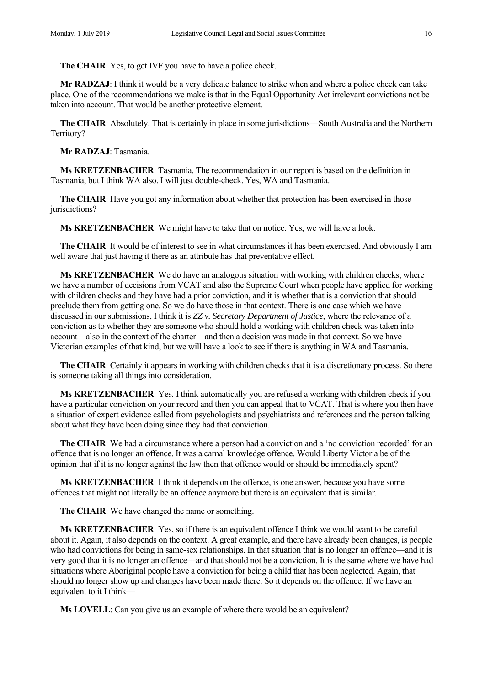**The CHAIR**: Yes, to get IVF you have to have a police check.

**Mr RADZAJ**: I think it would be a very delicate balance to strike when and where a police check can take place. One of the recommendations we make is that in the Equal Opportunity Act irrelevant convictions not be taken into account. That would be another protective element.

**The CHAIR**: Absolutely. That is certainly in place in some jurisdictions—South Australia and the Northern Territory?

**Mr RADZAJ**: Tasmania.

**Ms KRETZENBACHER**: Tasmania. The recommendation in our report is based on the definition in Tasmania, but I think WA also. I will just double-check. Yes, WA and Tasmania.

**The CHAIR**: Have you got any information about whether that protection has been exercised in those jurisdictions?

**Ms KRETZENBACHER**: We might have to take that on notice. Yes, we will have a look.

**The CHAIR**: It would be of interest to see in what circumstances it has been exercised. And obviously I am well aware that just having it there as an attribute has that preventative effect.

**Ms KRETZENBACHER**: We do have an analogous situation with working with children checks, where we have a number of decisions from VCAT and also the Supreme Court when people have applied for working with children checks and they have had a prior conviction, and it is whether that is a conviction that should preclude them from getting one. So we do have those in that context. There is one case which we have discussed in our submissions, I think it is *ZZ v. Secretary Department of Justice*, where the relevance of a conviction as to whether they are someone who should hold a working with children check was taken into account—also in the context of the charter—and then a decision was made in that context. So we have Victorian examples of that kind, but we will have a look to see if there is anything in WA and Tasmania.

**The CHAIR**: Certainly it appears in working with children checks that it is a discretionary process. So there is someone taking all things into consideration.

**Ms KRETZENBACHER:** Yes. I think automatically you are refused a working with children check if you have a particular conviction on your record and then you can appeal that to VCAT. That is where you then have a situation of expert evidence called from psychologists and psychiatrists and references and the person talking about what they have been doing since they had that conviction.

**The CHAIR**: We had a circumstance where a person had a conviction and a 'no conviction recorded' for an offence that is no longer an offence. It was a carnal knowledge offence. Would Liberty Victoria be of the opinion that if it is no longer against the law then that offence would or should be immediately spent?

**Ms KRETZENBACHER**: I think it depends on the offence, is one answer, because you have some offences that might not literally be an offence anymore but there is an equivalent that is similar.

**The CHAIR**: We have changed the name or something.

**Ms KRETZENBACHER**: Yes, so if there is an equivalent offence I think we would want to be careful about it. Again, it also depends on the context. A great example, and there have already been changes, is people who had convictions for being in same-sex relationships. In that situation that is no longer an offence—and it is very good that it is no longer an offence—and that should not be a conviction. It is the same where we have had situations where Aboriginal people have a conviction for being a child that has been neglected. Again, that should no longer show up and changes have been made there. So it depends on the offence. If we have an equivalent to it I think—

**Ms LOVELL**: Can you give us an example of where there would be an equivalent?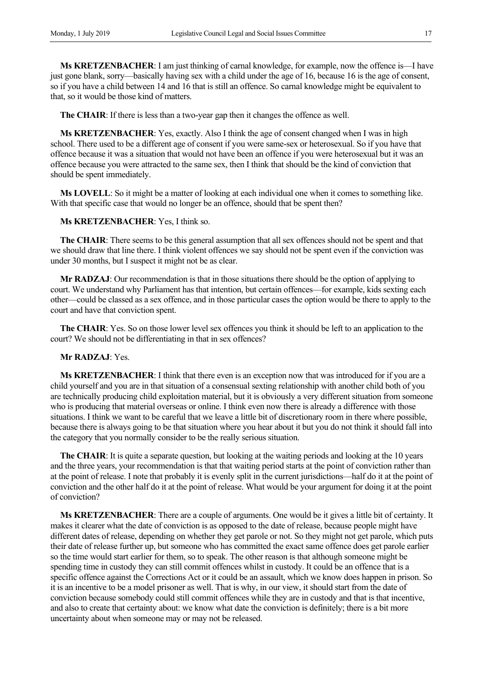**Ms KRETZENBACHER**: I am just thinking of carnal knowledge, for example, now the offence is—I have just gone blank, sorry—basically having sex with a child under the age of 16, because 16 is the age of consent, so if you have a child between 14 and 16 that is still an offence. So carnal knowledge might be equivalent to that, so it would be those kind of matters.

**The CHAIR**: If there is less than a two-year gap then it changes the offence as well.

**Ms KRETZENBACHER**: Yes, exactly. Also I think the age of consent changed when I was in high school. There used to be a different age of consent if you were same-sex or heterosexual. So if you have that offence because it was a situation that would not have been an offence if you were heterosexual but it was an offence because you were attracted to the same sex, then I think that should be the kind of conviction that should be spent immediately.

**Ms LOVELL**: So it might be a matter of looking at each individual one when it comes to something like. With that specific case that would no longer be an offence, should that be spent then?

**Ms KRETZENBACHER**: Yes, I think so.

**The CHAIR**: There seems to be this general assumption that all sex offences should not be spent and that we should draw that line there. I think violent offences we say should not be spent even if the conviction was under 30 months, but I suspect it might not be as clear.

**Mr RADZAJ**: Our recommendation is that in those situations there should be the option of applying to court. We understand why Parliament has that intention, but certain offences—for example, kids sexting each other—could be classed as a sex offence, and in those particular cases the option would be there to apply to the court and have that conviction spent.

**The CHAIR**: Yes. So on those lower level sex offences you think it should be left to an application to the court? We should not be differentiating in that in sex offences?

**Mr RADZAJ**: Yes.

**Ms KRETZENBACHER**: I think that there even is an exception now that was introduced for if you are a child yourself and you are in that situation of a consensual sexting relationship with another child both of you are technically producing child exploitation material, but it is obviously a very different situation from someone who is producing that material overseas or online. I think even now there is already a difference with those situations. I think we want to be careful that we leave a little bit of discretionary room in there where possible, because there is always going to be that situation where you hear about it but you do not think it should fall into the category that you normally consider to be the really serious situation.

**The CHAIR:** It is quite a separate question, but looking at the waiting periods and looking at the 10 years and the three years, your recommendation is that that waiting period starts at the point of conviction rather than at the point of release. I note that probably it is evenly split in the current jurisdictions—half do it at the point of conviction and the other half do it at the point of release. What would be your argument for doing it at the point of conviction?

**Ms KRETZENBACHER**: There are a couple of arguments. One would be it gives a little bit of certainty. It makes it clearer what the date of conviction is as opposed to the date of release, because people might have different dates of release, depending on whether they get parole or not. So they might not get parole, which puts their date of release further up, but someone who has committed the exact same offence does get parole earlier so the time would start earlier for them, so to speak. The other reason is that although someone might be spending time in custody they can still commit offences whilst in custody. It could be an offence that is a specific offence against the Corrections Act or it could be an assault, which we know does happen in prison. So it is an incentive to be a model prisoner as well. That is why, in our view, it should start from the date of conviction because somebody could still commit offences while they are in custody and that is that incentive, and also to create that certainty about: we know what date the conviction is definitely; there is a bit more uncertainty about when someone may or may not be released.